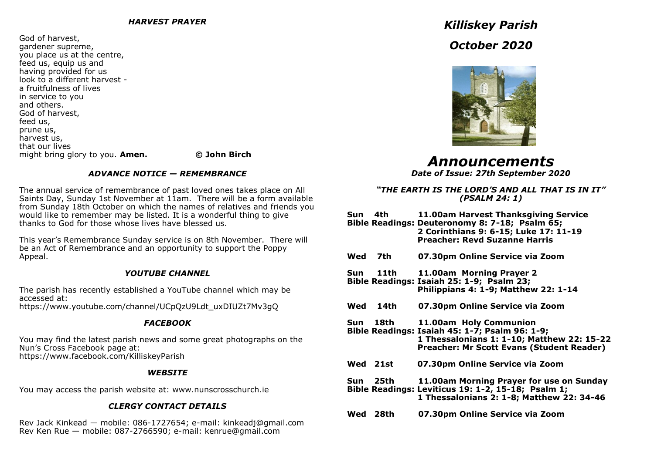God of harvest, gardener supreme, you place us at the centre, feed us, equip us and having provided for us look to a different harvest a fruitfulness of lives in service to you and others. God of harvest, feed us, prune us, harvest us, that our lives might bring glory to you. **Amen. © John Birch** 

## *ADVANCE NOTICE — REMEMBRANCE*

The annual service of remembrance of past loved ones takes place on All Saints Day, Sunday 1st November at 11am. There will be a form available from Sunday 18th October on which the names of relatives and friends you would like to remember may be listed. It is a wonderful thing to give thanks to God for those whose lives have blessed us.

This year's Remembrance Sunday service is on 8th November. There will be an Act of Remembrance and an opportunity to support the Poppy Appeal.

# *YOUTUBE CHANNEL*

The parish has recently established a YouTube channel which may be accessed at: https://www.youtube.com/channel/UCpQzU9Ldt\_uxDIUZt7Mv3gQ

# *FACEBOOK*

You may find the latest parish news and some great photographs on the Nun's Cross Facebook page at: https://www.facebook.com/KilliskeyParish

## *WEBSITE*

You may access the parish website at: www.nunscrosschurch.ie

# *CLERGY CONTACT DETAILS*

Rev Jack Kinkead — mobile: 086-1727654; e-mail: kinkeadj@gmail.com Rev Ken Rue — mobile: 087-2766590; e-mail: kenrue@gmail.com

# *Killiskey Parish October 2020*



*Announcements*

*Date of Issue: 27th September 2020*

## *"THE EARTH IS THE LORD'S AND ALL THAT IS IN IT" (PSALM 24: 1)*

**Sun 4th 11.00am Harvest Thanksgiving Service Bible Readings: Deuteronomy 8: 7-18; Psalm 65; 2 Corinthians 9: 6-15; Luke 17: 11-19 Preacher: Revd Suzanne Harris** **Wed 7th 07.30pm Online Service via Zoom Sun 11th 11.00am Morning Prayer 2 Bible Readings: Isaiah 25: 1-9; Psalm 23; Philippians 4: 1-9; Matthew 22: 1-14 Wed 14th 07.30pm Online Service via Zoom Sun 18th 11.00am Holy Communion Bible Readings: Isaiah 45: 1-7; Psalm 96: 1-9; 1 Thessalonians 1: 1-10; Matthew 22: 15-22 Preacher: Mr Scott Evans (Student Reader) Wed 21st 07.30pm Online Service via Zoom Sun 25th 11.00am Morning Prayer for use on Sunday Bible Readings: Leviticus 19: 1-2, 15-18; Psalm 1; 1 Thessalonians 2: 1-8; Matthew 22: 34-46 Wed 28th 07.30pm Online Service via Zoom**